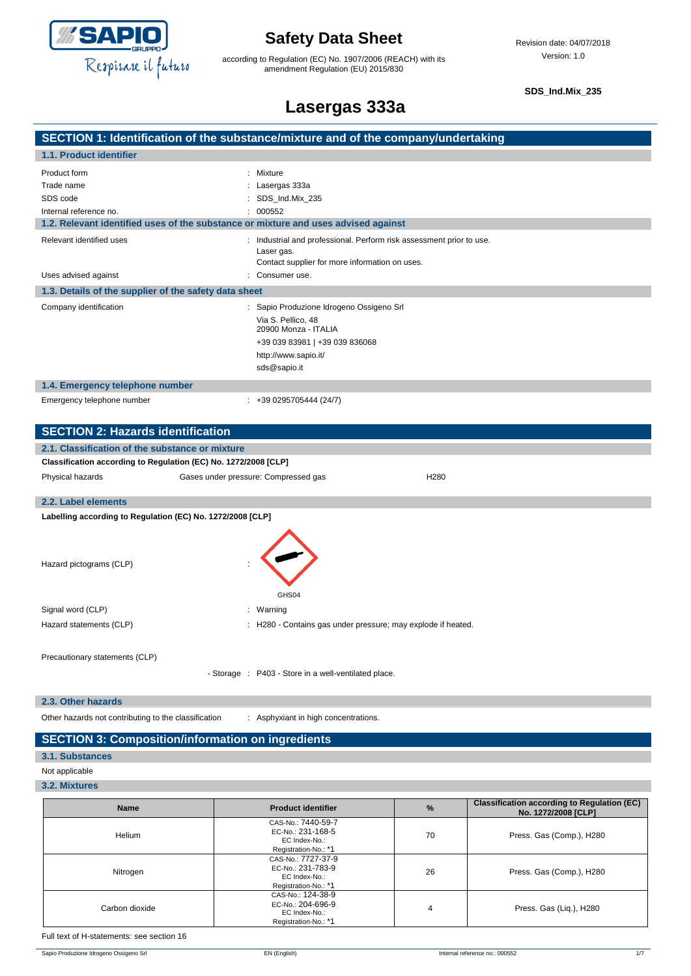

according to Regulation (EC) No. 1907/2006 (REACH) with its amendment Regulation (EU) 2015/830

**SDS\_Ind.Mix\_235**

## **Lasergas 333a**

### **SECTION 1: Identification of the substance/mixture and of the company/undertaking 1.1. Product identifier** Product form : Nixture : Mixture

| 1100000001111                                                                      | . winture                                                                                                                                                        |  |
|------------------------------------------------------------------------------------|------------------------------------------------------------------------------------------------------------------------------------------------------------------|--|
| Trade name                                                                         | : Lasergas 333a                                                                                                                                                  |  |
| SDS code                                                                           | : SDS Ind.Mix 235                                                                                                                                                |  |
| Internal reference no.                                                             | : 000552                                                                                                                                                         |  |
| 1.2. Relevant identified uses of the substance or mixture and uses advised against |                                                                                                                                                                  |  |
| Relevant identified uses                                                           | : Industrial and professional. Perform risk assessment prior to use.<br>Laser gas.<br>Contact supplier for more information on uses.                             |  |
| Uses advised against                                                               | : Consumer use.                                                                                                                                                  |  |
| 1.3. Details of the supplier of the safety data sheet                              |                                                                                                                                                                  |  |
| Company identification                                                             | : Sapio Produzione Idrogeno Ossigeno Srl<br>Via S. Pellico, 48<br>20900 Monza - ITALIA<br>+39 039 83981   +39 039 836068<br>http://www.sapio.it/<br>sds@sapio.it |  |
| 1.4. Emergency telephone number                                                    |                                                                                                                                                                  |  |
| Emergency telephone number                                                         | $: +390295705444(24/7)$                                                                                                                                          |  |
|                                                                                    |                                                                                                                                                                  |  |

| <b>SECTION 2: Hazards identification</b>                        |                                                      |                                                              |  |  |  |
|-----------------------------------------------------------------|------------------------------------------------------|--------------------------------------------------------------|--|--|--|
|                                                                 | 2.1. Classification of the substance or mixture      |                                                              |  |  |  |
| Classification according to Regulation (EC) No. 1272/2008 [CLP] |                                                      |                                                              |  |  |  |
| Physical hazards                                                | Gases under pressure: Compressed gas                 | H <sub>280</sub>                                             |  |  |  |
|                                                                 |                                                      |                                                              |  |  |  |
| 2.2. Label elements                                             |                                                      |                                                              |  |  |  |
| Labelling according to Regulation (EC) No. 1272/2008 [CLP]      |                                                      |                                                              |  |  |  |
| Hazard pictograms (CLP)                                         | GHS04                                                |                                                              |  |  |  |
| Signal word (CLP)                                               | : Warning                                            |                                                              |  |  |  |
| Hazard statements (CLP)                                         |                                                      | : H280 - Contains gas under pressure; may explode if heated. |  |  |  |
| Precautionary statements (CLP)                                  | - Storage : P403 - Store in a well-ventilated place. |                                                              |  |  |  |
|                                                                 |                                                      |                                                              |  |  |  |

**2.3. Other hazards**

Other hazards not contributing to the classification : Asphyxiant in high concentrations.

### **SECTION 3: Composition/information on ingredients**

### **3.1. Substances**

Not applicable

#### **3.2. Mixtures**

| <b>Name</b>    | <b>Product identifier</b>                                                        | %  | <b>Classification according to Regulation (EC)</b><br>No. 1272/2008 [CLP] |
|----------------|----------------------------------------------------------------------------------|----|---------------------------------------------------------------------------|
| Helium         | CAS-No.: 7440-59-7<br>EC-No.: 231-168-5<br>EC Index-No.:<br>Registration-No.: *1 | 70 | Press. Gas (Comp.), H280                                                  |
| Nitrogen       | CAS-No.: 7727-37-9<br>EC-No.: 231-783-9<br>EC Index-No.:<br>Registration-No.: *1 | 26 | Press. Gas (Comp.), H280                                                  |
| Carbon dioxide | CAS-No.: 124-38-9<br>EC-No.: 204-696-9<br>EC Index-No.:<br>Registration-No.: *1  | 4  | Press. Gas (Liq.), H280                                                   |

Full text of H-statements: see section 16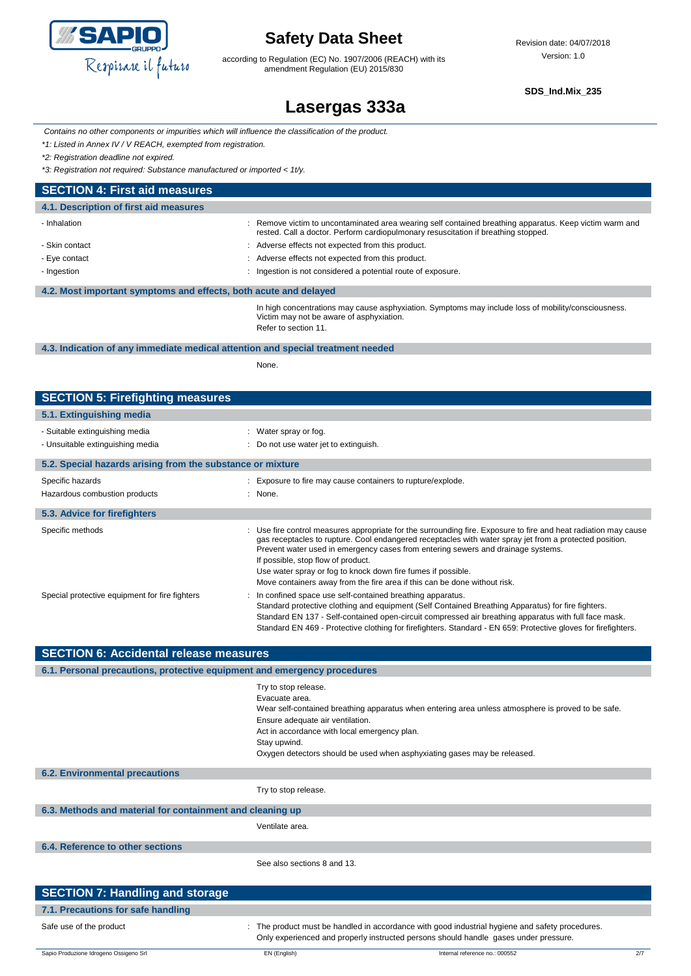

according to Regulation (EC) No. 1907/2006 (REACH) with its amendment Regulation (EU) 2015/830

**SDS\_Ind.Mix\_235**

# **Lasergas 333a**

*Contains no other components or impurities which will influence the classification of the product.*

*\*1: Listed in Annex IV / V REACH, exempted from registration.*

*\*2: Registration deadline not expired.*

*\*3: Registration not required: Substance manufactured or imported < 1t/y.*

| <b>SECTION 4: First aid measures</b>                             |                                                                                                                                                                                               |
|------------------------------------------------------------------|-----------------------------------------------------------------------------------------------------------------------------------------------------------------------------------------------|
| 4.1. Description of first aid measures                           |                                                                                                                                                                                               |
| - Inhalation                                                     | : Remove victim to uncontaminated area wearing self contained breathing apparatus. Keep victim warm and<br>rested. Call a doctor. Perform cardiopulmonary resuscitation if breathing stopped. |
| - Skin contact                                                   | : Adverse effects not expected from this product.                                                                                                                                             |
| - Eye contact                                                    | : Adverse effects not expected from this product.                                                                                                                                             |
| - Ingestion                                                      | : Ingestion is not considered a potential route of exposure.                                                                                                                                  |
| 4.2. Most important symptoms and effects, both acute and delayed |                                                                                                                                                                                               |
|                                                                  | In high concentrations may cause asphysiation. Symptoms may include loss of mobility/consciousness                                                                                            |

In high concentrations may cause asphyxiation. Symptoms may include loss of mobility/consciousness. Victim may not be aware of asphyxiation. Refer to section 11.

**4.3. Indication of any immediate medical attention and special treatment needed**

None.

| <b>SECTION 5: Firefighting measures</b>                    |                                                                                                                                                                                                                                                                                                                                                                                                                                                                                                   |  |
|------------------------------------------------------------|---------------------------------------------------------------------------------------------------------------------------------------------------------------------------------------------------------------------------------------------------------------------------------------------------------------------------------------------------------------------------------------------------------------------------------------------------------------------------------------------------|--|
| 5.1. Extinguishing media                                   |                                                                                                                                                                                                                                                                                                                                                                                                                                                                                                   |  |
| - Suitable extinguishing media                             | : Water spray or fog.                                                                                                                                                                                                                                                                                                                                                                                                                                                                             |  |
| - Unsuitable extinguishing media                           | : Do not use water jet to extinguish.                                                                                                                                                                                                                                                                                                                                                                                                                                                             |  |
| 5.2. Special hazards arising from the substance or mixture |                                                                                                                                                                                                                                                                                                                                                                                                                                                                                                   |  |
| Specific hazards                                           | : Exposure to fire may cause containers to rupture/explode.                                                                                                                                                                                                                                                                                                                                                                                                                                       |  |
| Hazardous combustion products                              | $:$ None.                                                                                                                                                                                                                                                                                                                                                                                                                                                                                         |  |
| 5.3. Advice for firefighters                               |                                                                                                                                                                                                                                                                                                                                                                                                                                                                                                   |  |
| Specific methods                                           | : Use fire control measures appropriate for the surrounding fire. Exposure to fire and heat radiation may cause<br>gas receptacles to rupture. Cool endangered receptacles with water spray jet from a protected position.<br>Prevent water used in emergency cases from entering sewers and drainage systems.<br>If possible, stop flow of product.<br>Use water spray or fog to knock down fire fumes if possible.<br>Move containers away from the fire area if this can be done without risk. |  |
| Special protective equipment for fire fighters             | : In confined space use self-contained breathing apparatus.<br>Standard protective clothing and equipment (Self Contained Breathing Apparatus) for fire fighters.<br>Standard EN 137 - Self-contained open-circuit compressed air breathing apparatus with full face mask.<br>Standard EN 469 - Protective clothing for firefighters. Standard - EN 659: Protective gloves for firefighters.                                                                                                      |  |

| <b>SECTION 6: Accidental release measures</b>                            |                                                                                                                                                                                                                                                                                                                              |  |
|--------------------------------------------------------------------------|------------------------------------------------------------------------------------------------------------------------------------------------------------------------------------------------------------------------------------------------------------------------------------------------------------------------------|--|
| 6.1. Personal precautions, protective equipment and emergency procedures |                                                                                                                                                                                                                                                                                                                              |  |
|                                                                          | Try to stop release.<br>Evacuate area.<br>Wear self-contained breathing apparatus when entering area unless atmosphere is proved to be safe.<br>Ensure adequate air ventilation.<br>Act in accordance with local emergency plan.<br>Stay upwind.<br>Oxygen detectors should be used when asphyxiating gases may be released. |  |
| <b>6.2. Environmental precautions</b>                                    |                                                                                                                                                                                                                                                                                                                              |  |
|                                                                          | Try to stop release.                                                                                                                                                                                                                                                                                                         |  |
| 6.3. Methods and material for containment and cleaning up                |                                                                                                                                                                                                                                                                                                                              |  |
|                                                                          | Ventilate area.                                                                                                                                                                                                                                                                                                              |  |
| 6.4. Reference to other sections                                         |                                                                                                                                                                                                                                                                                                                              |  |
|                                                                          | See also sections 8 and 13.                                                                                                                                                                                                                                                                                                  |  |
| <b>SECTION 7: Handling and storage</b>                                   |                                                                                                                                                                                                                                                                                                                              |  |
|                                                                          |                                                                                                                                                                                                                                                                                                                              |  |

| 7.1. Precautions for safe handling     |              |                                                                                                                                                                                       |     |
|----------------------------------------|--------------|---------------------------------------------------------------------------------------------------------------------------------------------------------------------------------------|-----|
| Safe use of the product                |              | The product must be handled in accordance with good industrial hygiene and safety procedures.<br>Only experienced and properly instructed persons should handle gases under pressure. |     |
| Sapio Produzione Idrogeno Ossigeno Srl | EN (English) | Internal reference no.: 000552                                                                                                                                                        | 2/7 |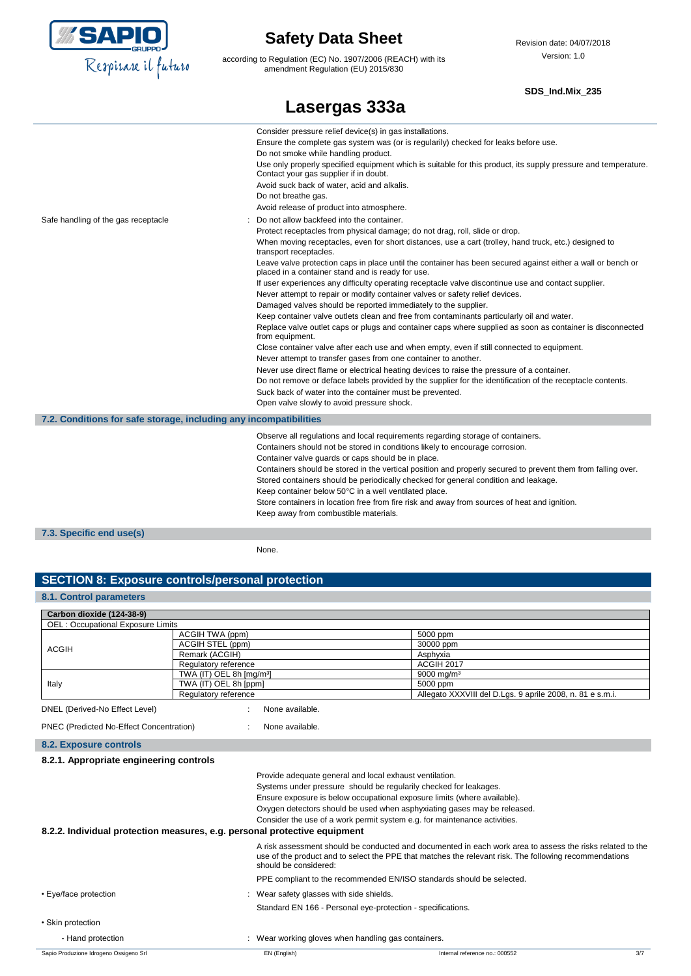

according to Regulation (EC) No. 1907/2006 (REACH) with its amendment Regulation (EU) 2015/830

#### **SDS\_Ind.Mix\_235**

|                                                                   | Lasergas 333a                                                                                                                                                                                                                                                                                                                                                                                                                                                                                                                                                                                                                                                                                                                                                                                                                                                                                                                                                                                                                                                                                                                                                                                                                                                                                                                                                                                               |
|-------------------------------------------------------------------|-------------------------------------------------------------------------------------------------------------------------------------------------------------------------------------------------------------------------------------------------------------------------------------------------------------------------------------------------------------------------------------------------------------------------------------------------------------------------------------------------------------------------------------------------------------------------------------------------------------------------------------------------------------------------------------------------------------------------------------------------------------------------------------------------------------------------------------------------------------------------------------------------------------------------------------------------------------------------------------------------------------------------------------------------------------------------------------------------------------------------------------------------------------------------------------------------------------------------------------------------------------------------------------------------------------------------------------------------------------------------------------------------------------|
|                                                                   | Consider pressure relief device(s) in gas installations.<br>Ensure the complete gas system was (or is regularily) checked for leaks before use.<br>Do not smoke while handling product.<br>Use only properly specified equipment which is suitable for this product, its supply pressure and temperature.<br>Contact your gas supplier if in doubt.<br>Avoid suck back of water, acid and alkalis.<br>Do not breathe gas.<br>Avoid release of product into atmosphere.                                                                                                                                                                                                                                                                                                                                                                                                                                                                                                                                                                                                                                                                                                                                                                                                                                                                                                                                      |
| Safe handling of the gas receptacle                               | Do not allow backfeed into the container.<br>Protect receptacles from physical damage; do not drag, roll, slide or drop.<br>When moving receptacles, even for short distances, use a cart (trolley, hand truck, etc.) designed to<br>transport receptacles.<br>Leave valve protection caps in place until the container has been secured against either a wall or bench or<br>placed in a container stand and is ready for use.<br>If user experiences any difficulty operating receptacle valve discontinue use and contact supplier.<br>Never attempt to repair or modify container valves or safety relief devices.<br>Damaged valves should be reported immediately to the supplier.<br>Keep container valve outlets clean and free from contaminants particularly oil and water.<br>Replace valve outlet caps or plugs and container caps where supplied as soon as container is disconnected<br>from equipment.<br>Close container valve after each use and when empty, even if still connected to equipment.<br>Never attempt to transfer gases from one container to another.<br>Never use direct flame or electrical heating devices to raise the pressure of a container.<br>Do not remove or deface labels provided by the supplier for the identification of the receptacle contents.<br>Suck back of water into the container must be prevented.<br>Open valve slowly to avoid pressure shock. |
| 7.2. Conditions for safe storage, including any incompatibilities |                                                                                                                                                                                                                                                                                                                                                                                                                                                                                                                                                                                                                                                                                                                                                                                                                                                                                                                                                                                                                                                                                                                                                                                                                                                                                                                                                                                                             |
|                                                                   | Observe all regulations and local requirements regarding storage of containers.<br>Containers should not be stored in conditions likely to encourage corrosion.<br>Container valve guards or caps should be in place.<br>Containers should be stored in the vertical position and properly secured to prevent them from falling over.<br>Stored containers should be periodically checked for general condition and leakage.<br>Keep container below 50°C in a well ventilated place.<br>Store containers in location free from fire risk and away from sources of heat and ignition.<br>Keep away from combustible materials.                                                                                                                                                                                                                                                                                                                                                                                                                                                                                                                                                                                                                                                                                                                                                                              |
| 7.3. Specific end use(s)                                          |                                                                                                                                                                                                                                                                                                                                                                                                                                                                                                                                                                                                                                                                                                                                                                                                                                                                                                                                                                                                                                                                                                                                                                                                                                                                                                                                                                                                             |

None.

### **SECTION 8: Exposure controls/personal protection**

### **8.1. Control parameters**

| Carbon dioxide (124-38-9)         |                                      |                                                           |
|-----------------------------------|--------------------------------------|-----------------------------------------------------------|
| OEL: Occupational Exposure Limits |                                      |                                                           |
|                                   | ACGIH TWA (ppm)                      | 5000 ppm                                                  |
| <b>ACGIH</b>                      | ACGIH STEL (ppm)                     | 30000 ppm                                                 |
|                                   | Remark (ACGIH)                       | Asphyxia                                                  |
|                                   | Regulatory reference                 | <b>ACGIH 2017</b>                                         |
| Italy                             | TWA (IT) OEL 8h [mg/m <sup>3</sup> ] | $9000 \,\mathrm{ma/m^3}$                                  |
|                                   | TWA (IT) OEL 8h [ppm]                | 5000 ppm                                                  |
| Regulatory reference              |                                      | Allegato XXXVIII del D.Lgs. 9 aprile 2008, n. 81 e s.m.i. |

ed-No Effect Level)

PNEC (Predicted No-Effect Concentration) : None available.

| 8.2. Exposure controls |  |
|------------------------|--|

| $\sim$ $\sim$ $\sim$ $\sim$ $\sim$ $\sim$ $\sim$ $\sim$                   |                                                                                                                                                                                                                                              |
|---------------------------------------------------------------------------|----------------------------------------------------------------------------------------------------------------------------------------------------------------------------------------------------------------------------------------------|
| 8.2.1. Appropriate engineering controls                                   |                                                                                                                                                                                                                                              |
|                                                                           | Provide adequate general and local exhaust ventilation.                                                                                                                                                                                      |
|                                                                           | Systems under pressure should be regularily checked for leakages.                                                                                                                                                                            |
|                                                                           | Ensure exposure is below occupational exposure limits (where available).                                                                                                                                                                     |
|                                                                           | Oxygen detectors should be used when asphyxiating gases may be released.                                                                                                                                                                     |
|                                                                           | Consider the use of a work permit system e.g. for maintenance activities.                                                                                                                                                                    |
| 8.2.2. Individual protection measures, e.g. personal protective equipment |                                                                                                                                                                                                                                              |
|                                                                           | A risk assessment should be conducted and documented in each work area to assess the risks related to the<br>use of the product and to select the PPE that matches the relevant risk. The following recommendations<br>should be considered: |
|                                                                           | PPE compliant to the recommended EN/ISO standards should be selected.                                                                                                                                                                        |
| • Eye/face protection                                                     | Wear safety glasses with side shields.                                                                                                                                                                                                       |
|                                                                           | Standard EN 166 - Personal eye-protection - specifications.                                                                                                                                                                                  |
| • Skin protection                                                         |                                                                                                                                                                                                                                              |
| - Hand protection                                                         | Wear working gloves when handling gas containers.                                                                                                                                                                                            |
|                                                                           |                                                                                                                                                                                                                                              |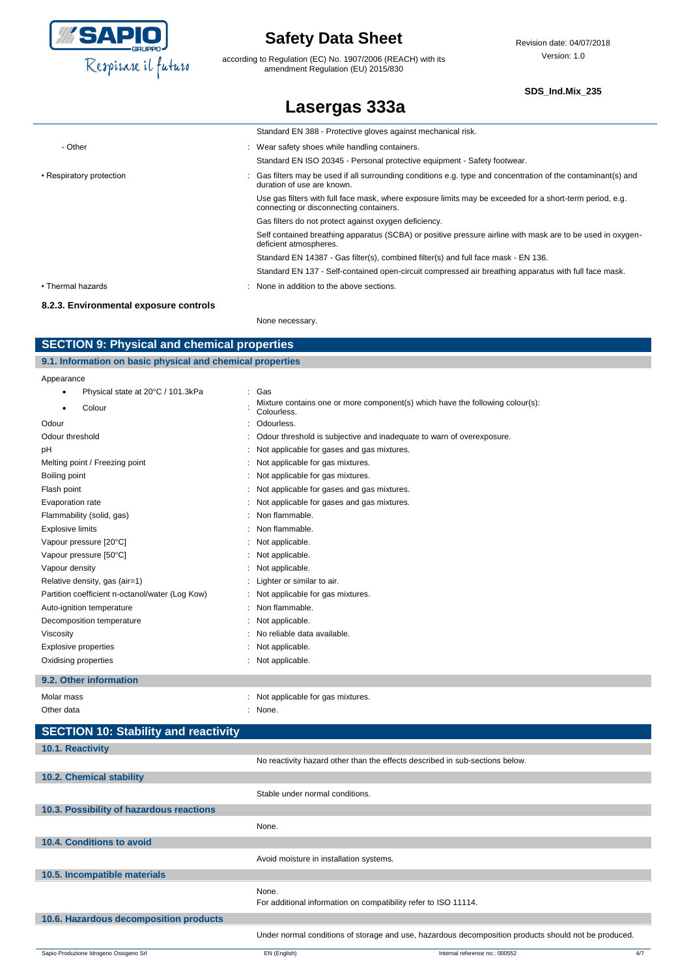

according to Regulation (EC) No. 1907/2006 (REACH) with its amendment Regulation (EU) 2015/830

**Lasergas 333a**

#### **SDS\_Ind.Mix\_235**

|                                     | Standard EN 388 - Protective gloves against mechanical risk.                                                                                        |
|-------------------------------------|-----------------------------------------------------------------------------------------------------------------------------------------------------|
| - Other                             | : Wear safety shoes while handling containers.                                                                                                      |
|                                     | Standard EN ISO 20345 - Personal protective equipment - Safety footwear.                                                                            |
| • Respiratory protection            | Gas filters may be used if all surrounding conditions e.g. type and concentration of the contaminant(s) and<br>duration of use are known.           |
|                                     | Use gas filters with full face mask, where exposure limits may be exceeded for a short-term period, e.g.<br>connecting or disconnecting containers. |
|                                     | Gas filters do not protect against oxygen deficiency.                                                                                               |
|                                     | Self contained breathing apparatus (SCBA) or positive pressure airline with mask are to be used in oxygen-<br>deficient atmospheres.                |
|                                     | Standard EN 14387 - Gas filter(s), combined filter(s) and full face mask - EN 136.                                                                  |
|                                     | Standard EN 137 - Self-contained open-circuit compressed air breathing apparatus with full face mask.                                               |
| • Thermal hazards                   | : None in addition to the above sections.                                                                                                           |
| 000 Environmental evangura controla |                                                                                                                                                     |

#### **8.2.3. Environmental exposure controls**

None necessary.

### **SECTION 9: Physical and chemical properties**

| 9.1. Information on basic physical and chemical properties |                                   |  |                                                                               |
|------------------------------------------------------------|-----------------------------------|--|-------------------------------------------------------------------------------|
| Appearance                                                 |                                   |  |                                                                               |
|                                                            | Physical state at 20°C / 101.3kPa |  | : Gas                                                                         |
|                                                            | $\sim$ $\sim$ $\sim$ $\sim$       |  | Mixture contains one or more component(s) which have the following colour(s): |

| Colour                                          | <u>Mixture contains one or more componentis) which have the following colour(s).</u><br>Colourless. |
|-------------------------------------------------|-----------------------------------------------------------------------------------------------------|
| Odour                                           | Odourless.                                                                                          |
| Odour threshold                                 | Odour threshold is subjective and inadequate to warn of overexposure.                               |
| рH                                              | Not applicable for gases and gas mixtures.                                                          |
| Melting point / Freezing point                  | Not applicable for gas mixtures.                                                                    |
| Boiling point                                   | Not applicable for gas mixtures.                                                                    |
| Flash point                                     | Not applicable for gases and gas mixtures.                                                          |
| Evaporation rate                                | Not applicable for gases and gas mixtures.                                                          |
| Flammability (solid, gas)                       | Non flammable.                                                                                      |
| <b>Explosive limits</b>                         | Non flammable.                                                                                      |
| Vapour pressure [20°C]                          | Not applicable.                                                                                     |
| Vapour pressure [50°C]                          | Not applicable.                                                                                     |
| Vapour density                                  | Not applicable.                                                                                     |
| Relative density, gas (air=1)                   | Lighter or similar to air.                                                                          |
| Partition coefficient n-octanol/water (Log Kow) | Not applicable for gas mixtures.                                                                    |
| Auto-ignition temperature                       | Non flammable.                                                                                      |
| Decomposition temperature                       | Not applicable.                                                                                     |
| Viscosity                                       | No reliable data available.                                                                         |
| Explosive properties                            | Not applicable.                                                                                     |
| Oxidising properties                            | Not applicable.                                                                                     |

### **9.2. Other information**

| Molar mass                           | : Not applicable for gas mixtures. |
|--------------------------------------|------------------------------------|
| Other data                           | : None.                            |
| SECTION 10: Stability and reactivity |                                    |

# **10.1. Reactivity**

|                                          |                                                                          | No reactivity hazard other than the effects described in sub-sections below.                         |     |
|------------------------------------------|--------------------------------------------------------------------------|------------------------------------------------------------------------------------------------------|-----|
| 10.2. Chemical stability                 |                                                                          |                                                                                                      |     |
|                                          | Stable under normal conditions.                                          |                                                                                                      |     |
| 10.3. Possibility of hazardous reactions |                                                                          |                                                                                                      |     |
|                                          | None.                                                                    |                                                                                                      |     |
| 10.4. Conditions to avoid                |                                                                          |                                                                                                      |     |
|                                          | Avoid moisture in installation systems.                                  |                                                                                                      |     |
| 10.5. Incompatible materials             |                                                                          |                                                                                                      |     |
|                                          | None.<br>For additional information on compatibility refer to ISO 11114. |                                                                                                      |     |
| 10.6. Hazardous decomposition products   |                                                                          |                                                                                                      |     |
|                                          |                                                                          | Under normal conditions of storage and use, hazardous decomposition products should not be produced. |     |
| Sapio Produzione Idrogeno Ossigeno Srl   | EN (English)                                                             | Internal reference no.: 000552                                                                       | 4/7 |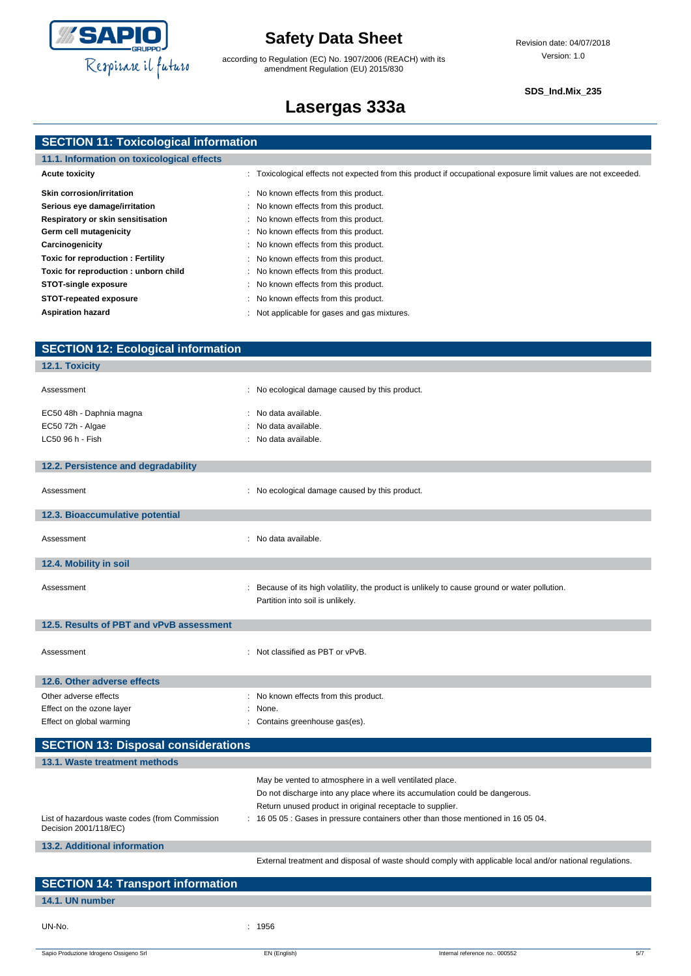

according to Regulation (EC) No. 1907/2006 (REACH) with its amendment Regulation (EU) 2015/830

#### **SDS\_Ind.Mix\_235**

# **Lasergas 333a**

|  | <b>SECTION 11: Toxicological information</b> |
|--|----------------------------------------------|
|  |                                              |

| 11.1. Information on toxicological effects |                                                                                                                |  |
|--------------------------------------------|----------------------------------------------------------------------------------------------------------------|--|
| <b>Acute toxicity</b>                      | : Toxicological effects not expected from this product if occupational exposure limit values are not exceeded. |  |
| <b>Skin corrosion/irritation</b>           | : No known effects from this product.                                                                          |  |
| Serious eye damage/irritation              | : No known effects from this product.                                                                          |  |
| Respiratory or skin sensitisation          | : No known effects from this product.                                                                          |  |
| Germ cell mutagenicity                     | : No known effects from this product.                                                                          |  |
| Carcinogenicity                            | : No known effects from this product.                                                                          |  |
| Toxic for reproduction: Fertility          | : No known effects from this product.                                                                          |  |
| Toxic for reproduction : unborn child      | : No known effects from this product.                                                                          |  |
| <b>STOT-single exposure</b>                | : No known effects from this product.                                                                          |  |
| STOT-repeated exposure                     | No known effects from this product.                                                                            |  |
| <b>Aspiration hazard</b>                   | Not applicable for gases and gas mixtures.                                                                     |  |

| <b>SECTION 12: Ecological information</b>      |                                                                                                           |
|------------------------------------------------|-----------------------------------------------------------------------------------------------------------|
| 12.1. Toxicity                                 |                                                                                                           |
|                                                |                                                                                                           |
| Assessment                                     | : No ecological damage caused by this product.                                                            |
| EC50 48h - Daphnia magna                       | : No data available.                                                                                      |
| EC50 72h - Algae                               | No data available.                                                                                        |
| LC50 96 h - Fish                               | : No data available.                                                                                      |
|                                                |                                                                                                           |
| 12.2. Persistence and degradability            |                                                                                                           |
|                                                |                                                                                                           |
| Assessment                                     | : No ecological damage caused by this product.                                                            |
|                                                |                                                                                                           |
| 12.3. Bioaccumulative potential                |                                                                                                           |
| Assessment                                     | : No data available.                                                                                      |
|                                                |                                                                                                           |
| 12.4. Mobility in soil                         |                                                                                                           |
|                                                |                                                                                                           |
| Assessment                                     | : Because of its high volatility, the product is unlikely to cause ground or water pollution.             |
|                                                | Partition into soil is unlikely.                                                                          |
| 12.5. Results of PBT and vPvB assessment       |                                                                                                           |
|                                                |                                                                                                           |
| Assessment                                     | : Not classified as PBT or vPvB.                                                                          |
|                                                |                                                                                                           |
| 12.6. Other adverse effects                    |                                                                                                           |
| Other adverse effects                          | : No known effects from this product.                                                                     |
| Effect on the ozone layer                      | : None.                                                                                                   |
| Effect on global warming                       | : Contains greenhouse gas(es).                                                                            |
|                                                |                                                                                                           |
| <b>SECTION 13: Disposal considerations</b>     |                                                                                                           |
| 13.1. Waste treatment methods                  |                                                                                                           |
|                                                | May be vented to atmosphere in a well ventilated place.                                                   |
|                                                | Do not discharge into any place where its accumulation could be dangerous.                                |
|                                                | Return unused product in original receptacle to supplier.                                                 |
| List of hazardous waste codes (from Commission | 16 05 05 : Gases in pressure containers other than those mentioned in 16 05 04.                           |
| Decision 2001/118/EC)                          |                                                                                                           |
| 13.2. Additional information                   |                                                                                                           |
|                                                | External treatment and disposal of waste should comply with applicable local and/or national regulations. |
|                                                |                                                                                                           |
| <b>SECTION 14: Transport information</b>       |                                                                                                           |
| 14.1. UN number                                |                                                                                                           |

Sapio Produzione Idrogeno Ossigeno Srl **EN (English)** EN (English) Internal reference no.: 000552 5/7

UN-No. : 1956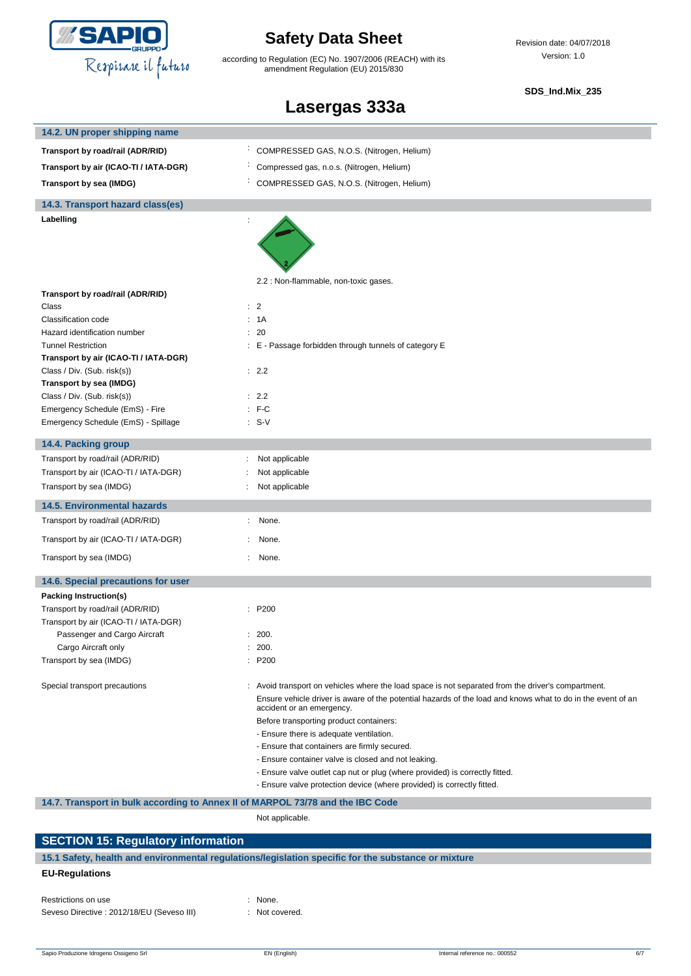

according to Regulation (EC) No. 1907/2006 (REACH) with its amendment Regulation (EU) 2015/830

Revision date: 04/07/2018 Version: 1.0

#### **SDS\_Ind.Mix\_235**

# **Lasergas 333a**

| 14.2. UN proper shipping name                                                  |                                                                                                                                                       |
|--------------------------------------------------------------------------------|-------------------------------------------------------------------------------------------------------------------------------------------------------|
| Transport by road/rail (ADR/RID)                                               | COMPRESSED GAS, N.O.S. (Nitrogen, Helium)                                                                                                             |
| Transport by air (ICAO-TI / IATA-DGR)                                          | Compressed gas, n.o.s. (Nitrogen, Helium)                                                                                                             |
| Transport by sea (IMDG)                                                        | COMPRESSED GAS, N.O.S. (Nitrogen, Helium)                                                                                                             |
| 14.3. Transport hazard class(es)                                               |                                                                                                                                                       |
| Labelling                                                                      |                                                                                                                                                       |
|                                                                                |                                                                                                                                                       |
|                                                                                | 2.2 : Non-flammable, non-toxic gases.                                                                                                                 |
| Transport by road/rail (ADR/RID)                                               |                                                                                                                                                       |
| Class<br>Classification code                                                   | $\therefore$ 2<br>: 1A                                                                                                                                |
| Hazard identification number                                                   | : 20                                                                                                                                                  |
| <b>Tunnel Restriction</b>                                                      | : E - Passage forbidden through tunnels of category E                                                                                                 |
| Transport by air (ICAO-TI / IATA-DGR)                                          |                                                                                                                                                       |
| Class / Div. (Sub. risk(s))                                                    | : 2.2                                                                                                                                                 |
| Transport by sea (IMDG)                                                        |                                                                                                                                                       |
| Class / Div. (Sub. risk(s))                                                    | : 2.2                                                                                                                                                 |
| Emergency Schedule (EmS) - Fire                                                | $:$ F-C                                                                                                                                               |
| Emergency Schedule (EmS) - Spillage                                            | $: S-V$                                                                                                                                               |
| 14.4. Packing group                                                            |                                                                                                                                                       |
| Transport by road/rail (ADR/RID)                                               | Not applicable                                                                                                                                        |
| Transport by air (ICAO-TI / IATA-DGR)                                          | Not applicable                                                                                                                                        |
| Transport by sea (IMDG)                                                        | Not applicable                                                                                                                                        |
| <b>14.5. Environmental hazards</b>                                             |                                                                                                                                                       |
| Transport by road/rail (ADR/RID)                                               | None.<br>÷.                                                                                                                                           |
| Transport by air (ICAO-TI / IATA-DGR)                                          | None.                                                                                                                                                 |
| Transport by sea (IMDG)                                                        | : None.                                                                                                                                               |
| 14.6. Special precautions for user                                             |                                                                                                                                                       |
| Packing Instruction(s)                                                         |                                                                                                                                                       |
| Transport by road/rail (ADR/RID)                                               | : P200                                                                                                                                                |
| Transport by air (ICAO-TI / IATA-DGR)                                          |                                                                                                                                                       |
| Passenger and Cargo Aircraft                                                   | : 200.                                                                                                                                                |
| Cargo Aircraft only                                                            | : 200.                                                                                                                                                |
| Transport by sea (IMDG)                                                        | : P200                                                                                                                                                |
| Special transport precautions                                                  | : Avoid transport on vehicles where the load space is not separated from the driver's compartment.                                                    |
|                                                                                | Ensure vehicle driver is aware of the potential hazards of the load and knows what to do in the event of an<br>accident or an emergency.              |
|                                                                                | Before transporting product containers:                                                                                                               |
|                                                                                | - Ensure there is adequate ventilation.                                                                                                               |
|                                                                                | - Ensure that containers are firmly secured.                                                                                                          |
|                                                                                | - Ensure container valve is closed and not leaking.                                                                                                   |
|                                                                                | - Ensure valve outlet cap nut or plug (where provided) is correctly fitted.<br>- Ensure valve protection device (where provided) is correctly fitted. |
|                                                                                |                                                                                                                                                       |
| 14.7. Transport in bulk according to Annex II of MARPOL 73/78 and the IBC Code |                                                                                                                                                       |
|                                                                                | Not applicable.                                                                                                                                       |

### **SECTION 15: Regulatory information 15.1 Safety, health and environmental regulations/legislation specific for the substance or mixture EU-Regulations**

| Restrictions on use                        | $:$ None.  |
|--------------------------------------------|------------|
| Seveso Directive : 2012/18/EU (Seveso III) | $:$ Not co |